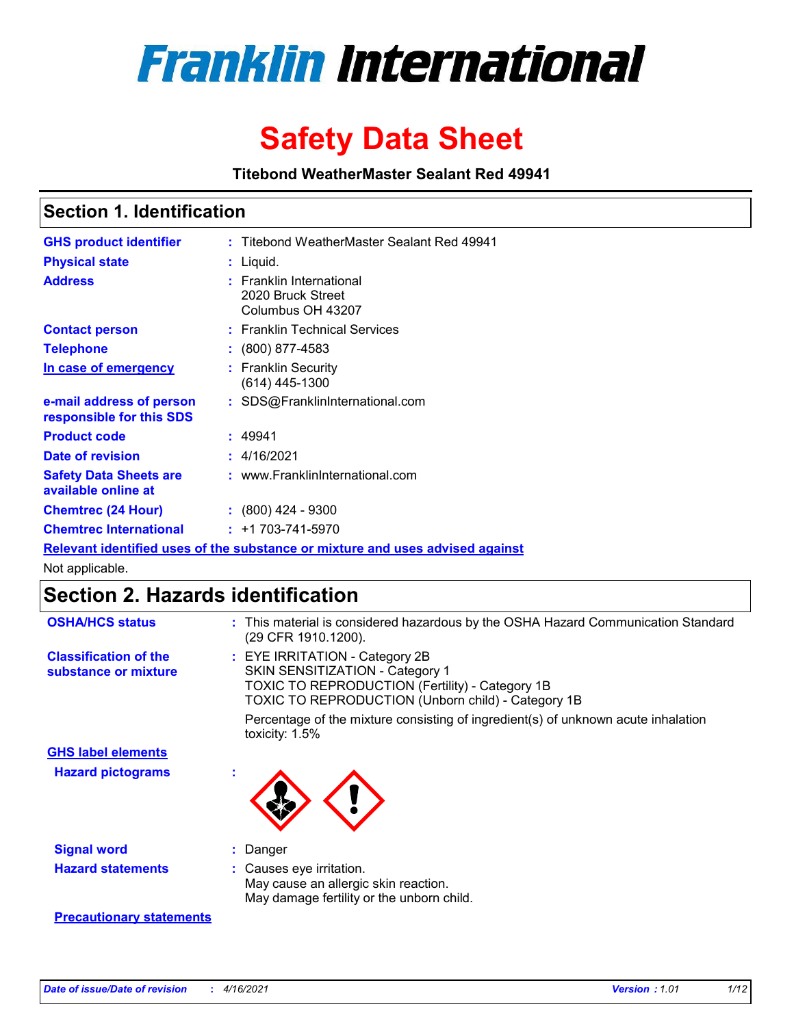

# **Safety Data Sheet**

**Titebond WeatherMaster Sealant Red 49941**

### **Section 1. Identification**

| <b>GHS product identifier</b>                                                 |  | : Titebond WeatherMaster Sealant Red 49941                         |  |  |  |
|-------------------------------------------------------------------------------|--|--------------------------------------------------------------------|--|--|--|
| <b>Physical state</b>                                                         |  | : Liquid.                                                          |  |  |  |
| <b>Address</b>                                                                |  | : Franklin International<br>2020 Bruck Street<br>Columbus OH 43207 |  |  |  |
| <b>Contact person</b>                                                         |  | : Franklin Technical Services                                      |  |  |  |
| <b>Telephone</b>                                                              |  | $\colon$ (800) 877-4583                                            |  |  |  |
| In case of emergency                                                          |  | : Franklin Security<br>(614) 445-1300                              |  |  |  |
| e-mail address of person<br>responsible for this SDS                          |  | : SDS@FranklinInternational.com                                    |  |  |  |
| <b>Product code</b>                                                           |  | : 49941                                                            |  |  |  |
| Date of revision                                                              |  | : 4/16/2021                                                        |  |  |  |
| <b>Safety Data Sheets are</b><br>available online at                          |  | : www.FranklinInternational.com                                    |  |  |  |
| <b>Chemtrec (24 Hour)</b>                                                     |  | $: (800)$ 424 - 9300                                               |  |  |  |
| <b>Chemtrec International</b>                                                 |  | $: +1703 - 741 - 5970$                                             |  |  |  |
| Relevant identified uses of the substance or mixture and uses advised against |  |                                                                    |  |  |  |

Not applicable.

## **Section 2. Hazards identification**

| <b>OSHA/HCS status</b>                               | : This material is considered hazardous by the OSHA Hazard Communication Standard<br>(29 CFR 1910.1200).                                                                          |
|------------------------------------------------------|-----------------------------------------------------------------------------------------------------------------------------------------------------------------------------------|
| <b>Classification of the</b><br>substance or mixture | : EYE IRRITATION - Category 2B<br>SKIN SENSITIZATION - Category 1<br><b>TOXIC TO REPRODUCTION (Fertility) - Category 1B</b><br>TOXIC TO REPRODUCTION (Unborn child) - Category 1B |
|                                                      | Percentage of the mixture consisting of ingredient(s) of unknown acute inhalation<br>toxicity: $1.5\%$                                                                            |
| <b>GHS label elements</b>                            |                                                                                                                                                                                   |
| <b>Hazard pictograms</b>                             |                                                                                                                                                                                   |
| <b>Signal word</b>                                   | : Danger                                                                                                                                                                          |
| <b>Hazard statements</b>                             | : Causes eye irritation.<br>May cause an allergic skin reaction.<br>May damage fertility or the unborn child.                                                                     |
| <b>Precautionary statements</b>                      |                                                                                                                                                                                   |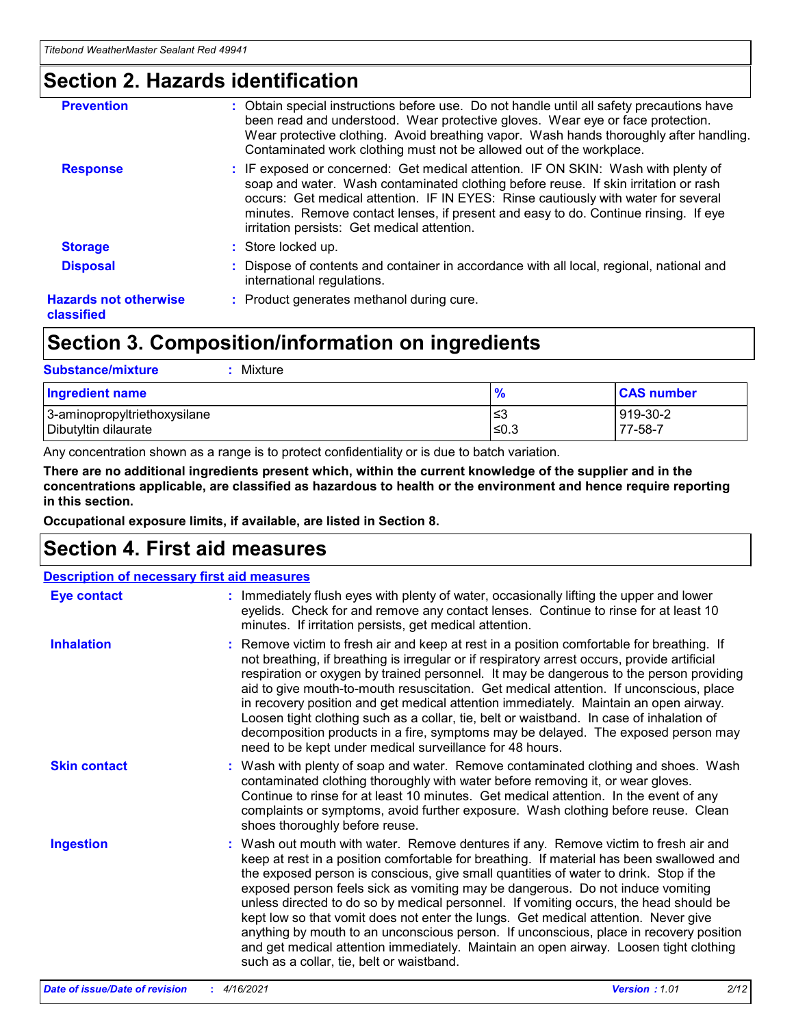### **Section 2. Hazards identification**

| <b>Prevention</b>                          | : Obtain special instructions before use. Do not handle until all safety precautions have<br>been read and understood. Wear protective gloves. Wear eye or face protection.<br>Wear protective clothing. Avoid breathing vapor. Wash hands thoroughly after handling.<br>Contaminated work clothing must not be allowed out of the workplace.                                                        |
|--------------------------------------------|------------------------------------------------------------------------------------------------------------------------------------------------------------------------------------------------------------------------------------------------------------------------------------------------------------------------------------------------------------------------------------------------------|
| <b>Response</b>                            | : IF exposed or concerned: Get medical attention. IF ON SKIN: Wash with plenty of<br>soap and water. Wash contaminated clothing before reuse. If skin irritation or rash<br>occurs: Get medical attention. IF IN EYES: Rinse cautiously with water for several<br>minutes. Remove contact lenses, if present and easy to do. Continue rinsing. If eye<br>irritation persists: Get medical attention. |
| <b>Storage</b>                             | : Store locked up.                                                                                                                                                                                                                                                                                                                                                                                   |
| <b>Disposal</b>                            | : Dispose of contents and container in accordance with all local, regional, national and<br>international regulations.                                                                                                                                                                                                                                                                               |
| <b>Hazards not otherwise</b><br>classified | : Product generates methanol during cure.                                                                                                                                                                                                                                                                                                                                                            |
|                                            |                                                                                                                                                                                                                                                                                                                                                                                                      |

### **Section 3. Composition/information on ingredients**

| <b>Substance/mixture</b><br>Mixture                  |               |                     |
|------------------------------------------------------|---------------|---------------------|
| <b>Ingredient name</b>                               | $\frac{9}{6}$ | <b>CAS number</b>   |
| 3-aminopropyltriethoxysilane<br>Dibutyltin dilaurate | ≤3<br>≤0.3    | 919-30-2<br>77-58-7 |

Any concentration shown as a range is to protect confidentiality or is due to batch variation.

**There are no additional ingredients present which, within the current knowledge of the supplier and in the concentrations applicable, are classified as hazardous to health or the environment and hence require reporting in this section.**

**Occupational exposure limits, if available, are listed in Section 8.**

### **Section 4. First aid measures**

| <b>Description of necessary first aid measures</b> |                                                                                                                                                                                                                                                                                                                                                                                                                                                                                                                                                                                                                                                                                                                                                                           |  |  |  |
|----------------------------------------------------|---------------------------------------------------------------------------------------------------------------------------------------------------------------------------------------------------------------------------------------------------------------------------------------------------------------------------------------------------------------------------------------------------------------------------------------------------------------------------------------------------------------------------------------------------------------------------------------------------------------------------------------------------------------------------------------------------------------------------------------------------------------------------|--|--|--|
| <b>Eye contact</b>                                 | : Immediately flush eyes with plenty of water, occasionally lifting the upper and lower<br>eyelids. Check for and remove any contact lenses. Continue to rinse for at least 10<br>minutes. If irritation persists, get medical attention.                                                                                                                                                                                                                                                                                                                                                                                                                                                                                                                                 |  |  |  |
| <b>Inhalation</b>                                  | : Remove victim to fresh air and keep at rest in a position comfortable for breathing. If<br>not breathing, if breathing is irregular or if respiratory arrest occurs, provide artificial<br>respiration or oxygen by trained personnel. It may be dangerous to the person providing<br>aid to give mouth-to-mouth resuscitation. Get medical attention. If unconscious, place<br>in recovery position and get medical attention immediately. Maintain an open airway.<br>Loosen tight clothing such as a collar, tie, belt or waistband. In case of inhalation of<br>decomposition products in a fire, symptoms may be delayed. The exposed person may<br>need to be kept under medical surveillance for 48 hours.                                                       |  |  |  |
| <b>Skin contact</b>                                | : Wash with plenty of soap and water. Remove contaminated clothing and shoes. Wash<br>contaminated clothing thoroughly with water before removing it, or wear gloves.<br>Continue to rinse for at least 10 minutes. Get medical attention. In the event of any<br>complaints or symptoms, avoid further exposure. Wash clothing before reuse. Clean<br>shoes thoroughly before reuse.                                                                                                                                                                                                                                                                                                                                                                                     |  |  |  |
| <b>Ingestion</b>                                   | : Wash out mouth with water. Remove dentures if any. Remove victim to fresh air and<br>keep at rest in a position comfortable for breathing. If material has been swallowed and<br>the exposed person is conscious, give small quantities of water to drink. Stop if the<br>exposed person feels sick as vomiting may be dangerous. Do not induce vomiting<br>unless directed to do so by medical personnel. If vomiting occurs, the head should be<br>kept low so that vomit does not enter the lungs. Get medical attention. Never give<br>anything by mouth to an unconscious person. If unconscious, place in recovery position<br>and get medical attention immediately. Maintain an open airway. Loosen tight clothing<br>such as a collar, tie, belt or waistband. |  |  |  |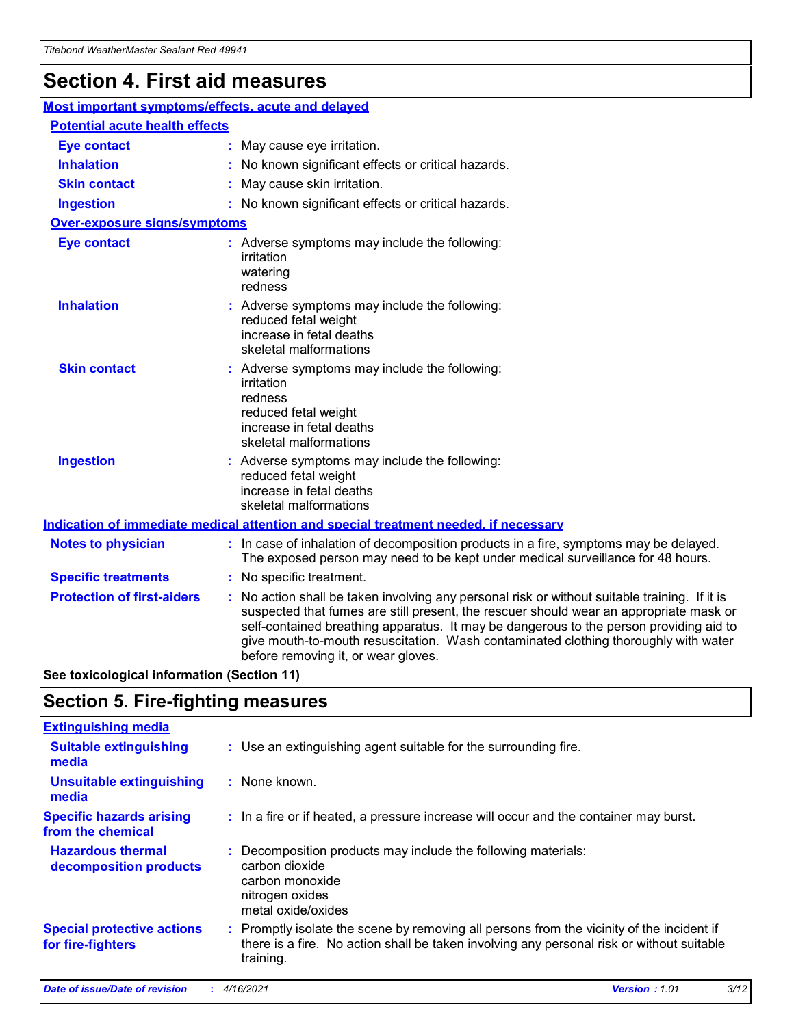## **Section 4. First aid measures**

| Most important symptoms/effects, acute and delayed |                                                                                                                             |                                                                                                                                                                                                                                                                                                                                                                                                                 |  |  |
|----------------------------------------------------|-----------------------------------------------------------------------------------------------------------------------------|-----------------------------------------------------------------------------------------------------------------------------------------------------------------------------------------------------------------------------------------------------------------------------------------------------------------------------------------------------------------------------------------------------------------|--|--|
| <b>Potential acute health effects</b>              |                                                                                                                             |                                                                                                                                                                                                                                                                                                                                                                                                                 |  |  |
| Eye contact                                        |                                                                                                                             | : May cause eye irritation.                                                                                                                                                                                                                                                                                                                                                                                     |  |  |
| <b>Inhalation</b>                                  |                                                                                                                             | : No known significant effects or critical hazards.                                                                                                                                                                                                                                                                                                                                                             |  |  |
| <b>Skin contact</b>                                |                                                                                                                             | : May cause skin irritation.                                                                                                                                                                                                                                                                                                                                                                                    |  |  |
| <b>Ingestion</b>                                   |                                                                                                                             | : No known significant effects or critical hazards.                                                                                                                                                                                                                                                                                                                                                             |  |  |
| Over-exposure signs/symptoms                       |                                                                                                                             |                                                                                                                                                                                                                                                                                                                                                                                                                 |  |  |
| <b>Eye contact</b>                                 |                                                                                                                             | : Adverse symptoms may include the following:<br>irritation<br>watering<br>redness                                                                                                                                                                                                                                                                                                                              |  |  |
| <b>Inhalation</b>                                  |                                                                                                                             | : Adverse symptoms may include the following:<br>reduced fetal weight<br>increase in fetal deaths<br>skeletal malformations                                                                                                                                                                                                                                                                                     |  |  |
| <b>Skin contact</b>                                |                                                                                                                             | : Adverse symptoms may include the following:<br>irritation<br>redness<br>reduced fetal weight<br>increase in fetal deaths<br>skeletal malformations                                                                                                                                                                                                                                                            |  |  |
| <b>Ingestion</b>                                   | : Adverse symptoms may include the following:<br>reduced fetal weight<br>increase in fetal deaths<br>skeletal malformations |                                                                                                                                                                                                                                                                                                                                                                                                                 |  |  |
|                                                    |                                                                                                                             | <b>Indication of immediate medical attention and special treatment needed, if necessary</b>                                                                                                                                                                                                                                                                                                                     |  |  |
| <b>Notes to physician</b>                          |                                                                                                                             | : In case of inhalation of decomposition products in a fire, symptoms may be delayed.<br>The exposed person may need to be kept under medical surveillance for 48 hours.                                                                                                                                                                                                                                        |  |  |
| <b>Specific treatments</b>                         |                                                                                                                             | : No specific treatment.                                                                                                                                                                                                                                                                                                                                                                                        |  |  |
| <b>Protection of first-aiders</b>                  |                                                                                                                             | : No action shall be taken involving any personal risk or without suitable training. If it is<br>suspected that fumes are still present, the rescuer should wear an appropriate mask or<br>self-contained breathing apparatus. It may be dangerous to the person providing aid to<br>give mouth-to-mouth resuscitation. Wash contaminated clothing thoroughly with water<br>before removing it, or wear gloves. |  |  |

**See toxicological information (Section 11)**

### **Section 5. Fire-fighting measures**

| <b>Extinguishing media</b>                             |                                                                                                                                                                                                     |
|--------------------------------------------------------|-----------------------------------------------------------------------------------------------------------------------------------------------------------------------------------------------------|
| <b>Suitable extinguishing</b><br>media                 | : Use an extinguishing agent suitable for the surrounding fire.                                                                                                                                     |
| <b>Unsuitable extinguishing</b><br>media               | : None known.                                                                                                                                                                                       |
| <b>Specific hazards arising</b><br>from the chemical   | : In a fire or if heated, a pressure increase will occur and the container may burst.                                                                                                               |
| <b>Hazardous thermal</b><br>decomposition products     | : Decomposition products may include the following materials:<br>carbon dioxide<br>carbon monoxide<br>nitrogen oxides<br>metal oxide/oxides                                                         |
| <b>Special protective actions</b><br>for fire-fighters | : Promptly isolate the scene by removing all persons from the vicinity of the incident if<br>there is a fire. No action shall be taken involving any personal risk or without suitable<br>training. |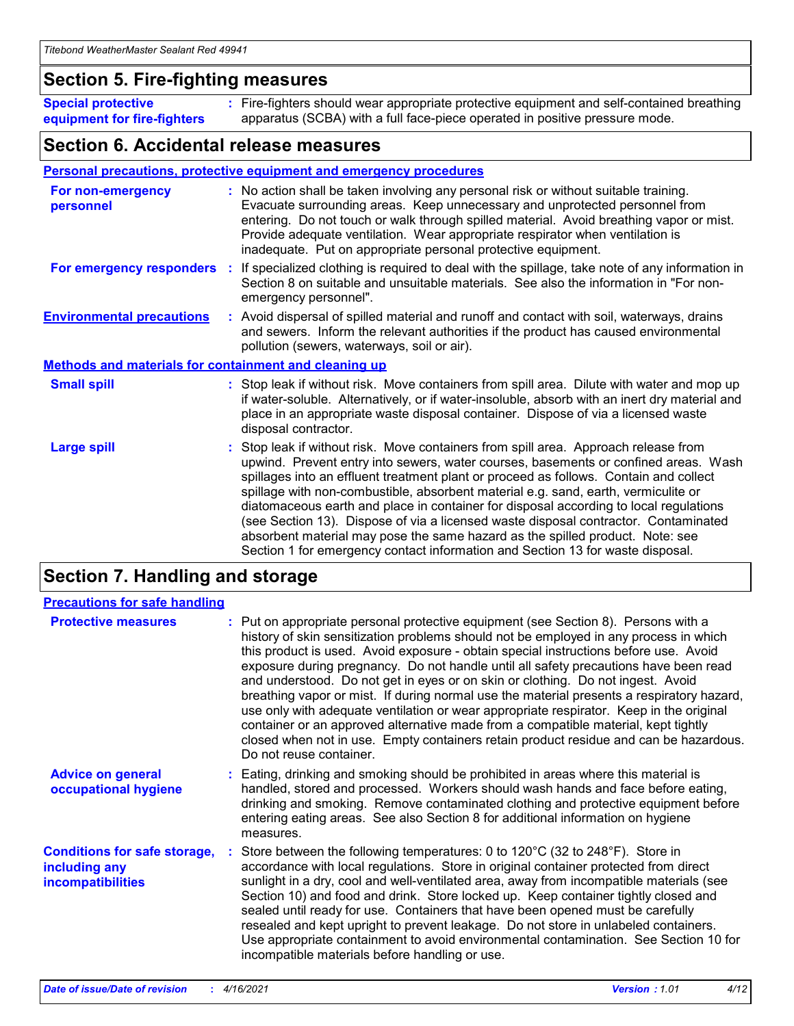### **Section 5. Fire-fighting measures**

**Special protective equipment for fire-fighters** Fire-fighters should wear appropriate protective equipment and self-contained breathing **:** apparatus (SCBA) with a full face-piece operated in positive pressure mode.

### **Section 6. Accidental release measures**

#### **Personal precautions, protective equipment and emergency procedures**

| For non-emergency<br>personnel                               |  | : No action shall be taken involving any personal risk or without suitable training.<br>Evacuate surrounding areas. Keep unnecessary and unprotected personnel from<br>entering. Do not touch or walk through spilled material. Avoid breathing vapor or mist.<br>Provide adequate ventilation. Wear appropriate respirator when ventilation is<br>inadequate. Put on appropriate personal protective equipment.                                                                                                                                                                                                                                                                                             |  |  |
|--------------------------------------------------------------|--|--------------------------------------------------------------------------------------------------------------------------------------------------------------------------------------------------------------------------------------------------------------------------------------------------------------------------------------------------------------------------------------------------------------------------------------------------------------------------------------------------------------------------------------------------------------------------------------------------------------------------------------------------------------------------------------------------------------|--|--|
|                                                              |  | For emergency responders : If specialized clothing is required to deal with the spillage, take note of any information in<br>Section 8 on suitable and unsuitable materials. See also the information in "For non-<br>emergency personnel".                                                                                                                                                                                                                                                                                                                                                                                                                                                                  |  |  |
| <b>Environmental precautions</b>                             |  | : Avoid dispersal of spilled material and runoff and contact with soil, waterways, drains<br>and sewers. Inform the relevant authorities if the product has caused environmental<br>pollution (sewers, waterways, soil or air).                                                                                                                                                                                                                                                                                                                                                                                                                                                                              |  |  |
| <b>Methods and materials for containment and cleaning up</b> |  |                                                                                                                                                                                                                                                                                                                                                                                                                                                                                                                                                                                                                                                                                                              |  |  |
| <b>Small spill</b>                                           |  | : Stop leak if without risk. Move containers from spill area. Dilute with water and mop up<br>if water-soluble. Alternatively, or if water-insoluble, absorb with an inert dry material and<br>place in an appropriate waste disposal container. Dispose of via a licensed waste<br>disposal contractor.                                                                                                                                                                                                                                                                                                                                                                                                     |  |  |
| <b>Large spill</b>                                           |  | : Stop leak if without risk. Move containers from spill area. Approach release from<br>upwind. Prevent entry into sewers, water courses, basements or confined areas. Wash<br>spillages into an effluent treatment plant or proceed as follows. Contain and collect<br>spillage with non-combustible, absorbent material e.g. sand, earth, vermiculite or<br>diatomaceous earth and place in container for disposal according to local regulations<br>(see Section 13). Dispose of via a licensed waste disposal contractor. Contaminated<br>absorbent material may pose the same hazard as the spilled product. Note: see<br>Section 1 for emergency contact information and Section 13 for waste disposal. |  |  |

### **Section 7. Handling and storage**

| <b>Precautions for safe handling</b>                                             |                                                                                                                                                                                                                                                                                                                                                                                                                                                                                                                                                                                                                                                                                                                                                                                                                                                  |
|----------------------------------------------------------------------------------|--------------------------------------------------------------------------------------------------------------------------------------------------------------------------------------------------------------------------------------------------------------------------------------------------------------------------------------------------------------------------------------------------------------------------------------------------------------------------------------------------------------------------------------------------------------------------------------------------------------------------------------------------------------------------------------------------------------------------------------------------------------------------------------------------------------------------------------------------|
| <b>Protective measures</b>                                                       | : Put on appropriate personal protective equipment (see Section 8). Persons with a<br>history of skin sensitization problems should not be employed in any process in which<br>this product is used. Avoid exposure - obtain special instructions before use. Avoid<br>exposure during pregnancy. Do not handle until all safety precautions have been read<br>and understood. Do not get in eyes or on skin or clothing. Do not ingest. Avoid<br>breathing vapor or mist. If during normal use the material presents a respiratory hazard,<br>use only with adequate ventilation or wear appropriate respirator. Keep in the original<br>container or an approved alternative made from a compatible material, kept tightly<br>closed when not in use. Empty containers retain product residue and can be hazardous.<br>Do not reuse container. |
| <b>Advice on general</b><br>occupational hygiene                                 | : Eating, drinking and smoking should be prohibited in areas where this material is<br>handled, stored and processed. Workers should wash hands and face before eating,<br>drinking and smoking. Remove contaminated clothing and protective equipment before<br>entering eating areas. See also Section 8 for additional information on hygiene<br>measures.                                                                                                                                                                                                                                                                                                                                                                                                                                                                                    |
| <b>Conditions for safe storage,</b><br>including any<br><b>incompatibilities</b> | Store between the following temperatures: 0 to 120°C (32 to 248°F). Store in<br>accordance with local regulations. Store in original container protected from direct<br>sunlight in a dry, cool and well-ventilated area, away from incompatible materials (see<br>Section 10) and food and drink. Store locked up. Keep container tightly closed and<br>sealed until ready for use. Containers that have been opened must be carefully<br>resealed and kept upright to prevent leakage. Do not store in unlabeled containers.<br>Use appropriate containment to avoid environmental contamination. See Section 10 for<br>incompatible materials before handling or use.                                                                                                                                                                         |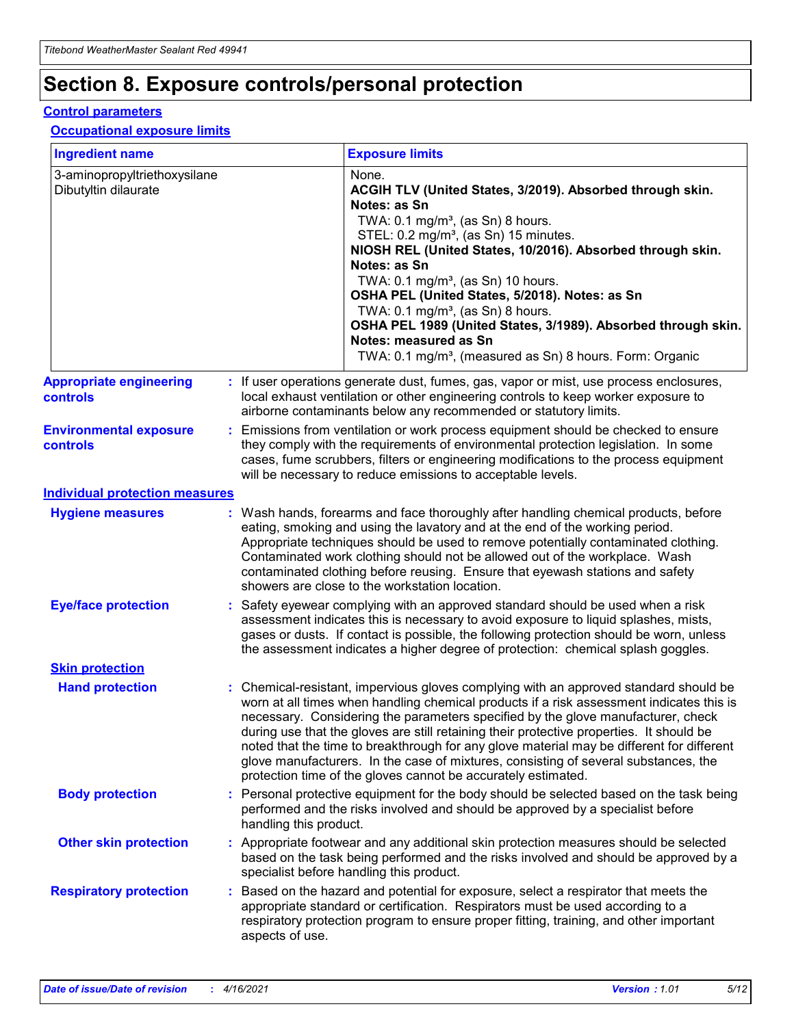## **Section 8. Exposure controls/personal protection**

#### **Control parameters**

#### **Occupational exposure limits**

| <b>Ingredient name</b>                               |    |                        | <b>Exposure limits</b>                                                                                                                                                                                                                                                                                                                                                                                                                                                                                                                                                                                                 |
|------------------------------------------------------|----|------------------------|------------------------------------------------------------------------------------------------------------------------------------------------------------------------------------------------------------------------------------------------------------------------------------------------------------------------------------------------------------------------------------------------------------------------------------------------------------------------------------------------------------------------------------------------------------------------------------------------------------------------|
| 3-aminopropyltriethoxysilane<br>Dibutyltin dilaurate |    |                        | None.<br>ACGIH TLV (United States, 3/2019). Absorbed through skin.<br>Notes: as Sn<br>TWA: $0.1 \text{ mg/m}^3$ , (as Sn) 8 hours.<br>STEL: 0.2 mg/m <sup>3</sup> , (as Sn) 15 minutes.<br>NIOSH REL (United States, 10/2016). Absorbed through skin.<br>Notes: as Sn<br>TWA: 0.1 mg/m <sup>3</sup> , (as Sn) 10 hours.<br>OSHA PEL (United States, 5/2018). Notes: as Sn<br>TWA: $0.1 \text{ mg/m}^3$ , (as Sn) 8 hours.<br>OSHA PEL 1989 (United States, 3/1989). Absorbed through skin.<br>Notes: measured as Sn<br>TWA: 0.1 mg/m <sup>3</sup> , (measured as Sn) 8 hours. Form: Organic                            |
| <b>Appropriate engineering</b><br>controls           |    |                        | : If user operations generate dust, fumes, gas, vapor or mist, use process enclosures,<br>local exhaust ventilation or other engineering controls to keep worker exposure to<br>airborne contaminants below any recommended or statutory limits.                                                                                                                                                                                                                                                                                                                                                                       |
| <b>Environmental exposure</b><br>controls            |    |                        | Emissions from ventilation or work process equipment should be checked to ensure<br>they comply with the requirements of environmental protection legislation. In some<br>cases, fume scrubbers, filters or engineering modifications to the process equipment<br>will be necessary to reduce emissions to acceptable levels.                                                                                                                                                                                                                                                                                          |
| <b>Individual protection measures</b>                |    |                        |                                                                                                                                                                                                                                                                                                                                                                                                                                                                                                                                                                                                                        |
| <b>Hygiene measures</b>                              |    |                        | : Wash hands, forearms and face thoroughly after handling chemical products, before<br>eating, smoking and using the lavatory and at the end of the working period.<br>Appropriate techniques should be used to remove potentially contaminated clothing.<br>Contaminated work clothing should not be allowed out of the workplace. Wash<br>contaminated clothing before reusing. Ensure that eyewash stations and safety<br>showers are close to the workstation location.                                                                                                                                            |
| <b>Eye/face protection</b>                           |    |                        | : Safety eyewear complying with an approved standard should be used when a risk<br>assessment indicates this is necessary to avoid exposure to liquid splashes, mists,<br>gases or dusts. If contact is possible, the following protection should be worn, unless<br>the assessment indicates a higher degree of protection: chemical splash goggles.                                                                                                                                                                                                                                                                  |
| <b>Skin protection</b>                               |    |                        |                                                                                                                                                                                                                                                                                                                                                                                                                                                                                                                                                                                                                        |
| <b>Hand protection</b>                               |    |                        | : Chemical-resistant, impervious gloves complying with an approved standard should be<br>worn at all times when handling chemical products if a risk assessment indicates this is<br>necessary. Considering the parameters specified by the glove manufacturer, check<br>during use that the gloves are still retaining their protective properties. It should be<br>noted that the time to breakthrough for any glove material may be different for different<br>glove manufacturers. In the case of mixtures, consisting of several substances, the<br>protection time of the gloves cannot be accurately estimated. |
| <b>Body protection</b>                               |    | handling this product. | Personal protective equipment for the body should be selected based on the task being<br>performed and the risks involved and should be approved by a specialist before                                                                                                                                                                                                                                                                                                                                                                                                                                                |
| <b>Other skin protection</b>                         |    |                        | : Appropriate footwear and any additional skin protection measures should be selected<br>based on the task being performed and the risks involved and should be approved by a<br>specialist before handling this product.                                                                                                                                                                                                                                                                                                                                                                                              |
| <b>Respiratory protection</b>                        | ÷. | aspects of use.        | Based on the hazard and potential for exposure, select a respirator that meets the<br>appropriate standard or certification. Respirators must be used according to a<br>respiratory protection program to ensure proper fitting, training, and other important                                                                                                                                                                                                                                                                                                                                                         |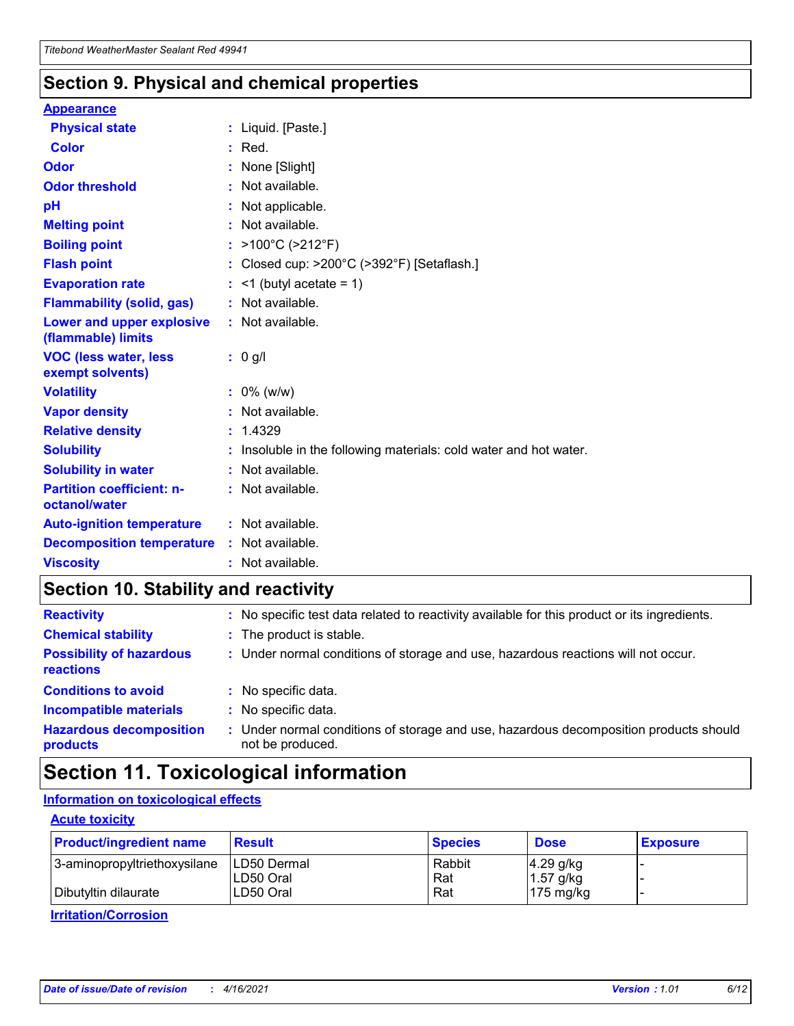### **Section 9. Physical and chemical properties**

#### **Appearance**

| <b>Physical state</b>                                  | : Liquid. [Paste.]                                                |
|--------------------------------------------------------|-------------------------------------------------------------------|
| <b>Color</b>                                           | $:$ Red.                                                          |
| Odor                                                   | None [Slight]                                                     |
| <b>Odor threshold</b>                                  | $:$ Not available.                                                |
| рH                                                     | : Not applicable.                                                 |
| <b>Melting point</b>                                   | : Not available.                                                  |
| <b>Boiling point</b>                                   | : $>100^{\circ}$ C ( $>212^{\circ}$ F)                            |
| <b>Flash point</b>                                     | : Closed cup: $>200^{\circ}$ C ( $>392^{\circ}$ F) [Setaflash.]   |
| <b>Evaporation rate</b>                                | $:$ <1 (butyl acetate = 1)                                        |
| <b>Flammability (solid, gas)</b>                       | : Not available.                                                  |
| <b>Lower and upper explosive</b><br>(flammable) limits | : Not available.                                                  |
|                                                        | : 0 g/l                                                           |
| <b>VOC (less water, less</b><br>exempt solvents)       |                                                                   |
| <b>Volatility</b>                                      | $: 0\%$ (w/w)                                                     |
| <b>Vapor density</b>                                   | : Not available.                                                  |
| <b>Relative density</b>                                | : 1.4329                                                          |
| <b>Solubility</b>                                      | : Insoluble in the following materials: cold water and hot water. |
| <b>Solubility in water</b>                             | : Not available.                                                  |
| <b>Partition coefficient: n-</b><br>octanol/water      | $:$ Not available.                                                |
| <b>Auto-ignition temperature</b>                       | : Not available.                                                  |
| <b>Decomposition temperature</b>                       | : Not available.                                                  |

### **Section 10. Stability and reactivity**

| <b>Reactivity</b>                            | : No specific test data related to reactivity available for this product or its ingredients.            |
|----------------------------------------------|---------------------------------------------------------------------------------------------------------|
| <b>Chemical stability</b>                    | : The product is stable.                                                                                |
| <b>Possibility of hazardous</b><br>reactions | : Under normal conditions of storage and use, hazardous reactions will not occur.                       |
| <b>Conditions to avoid</b>                   | : No specific data.                                                                                     |
| <b>Incompatible materials</b>                | : No specific data.                                                                                     |
| <b>Hazardous decomposition</b><br>products   | Under normal conditions of storage and use, hazardous decomposition products should<br>not be produced. |

## **Section 11. Toxicological information**

### **Information on toxicological effects**

#### **Acute toxicity**

| <b>Product/ingredient name</b> | <b>Result</b>           | <b>Species</b> | <b>Dose</b>                | <b>Exposure</b> |
|--------------------------------|-------------------------|----------------|----------------------------|-----------------|
| 3-aminopropyltriethoxysilane   | <b>ILD50 Dermal</b>     | Rabbit         | 4.29 g/kg                  |                 |
| Dibutyltin dilaurate           | ILD50 Oral<br>LD50 Oral | Rat<br>Rat     | $1.57$ g/kg<br>175 $mg/kg$ |                 |
|                                |                         |                |                            |                 |

**Irritation/Corrosion**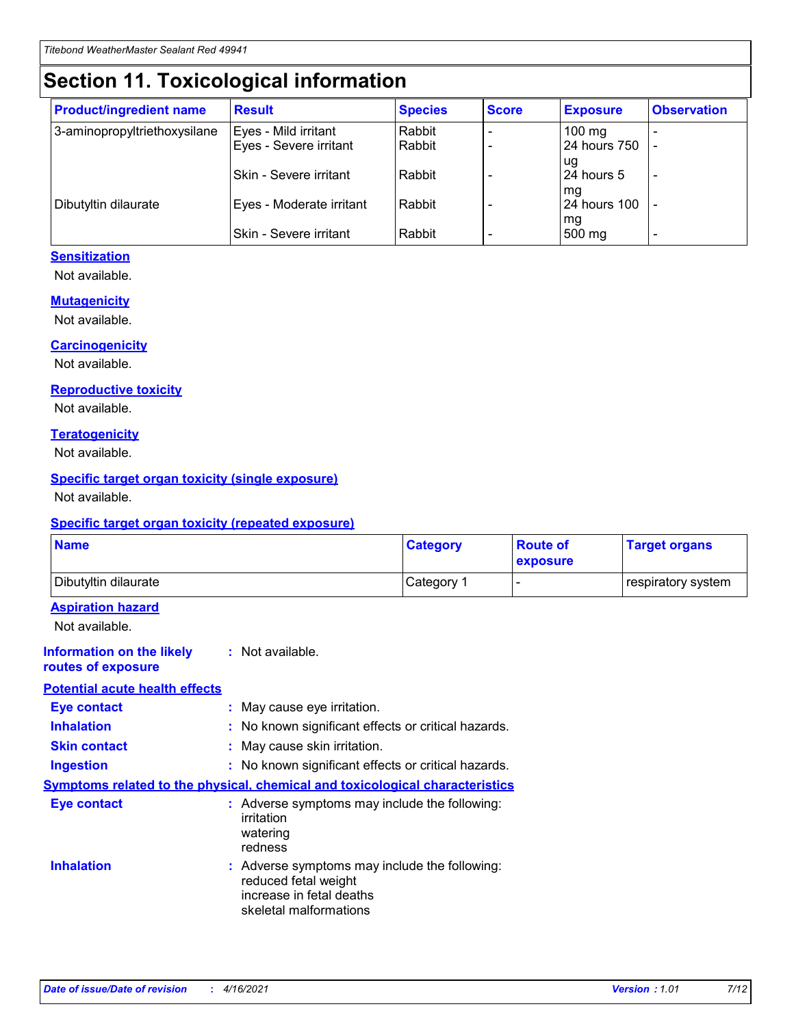## **Section 11. Toxicological information**

| <b>Product/ingredient name</b> | <b>Result</b>            | <b>Species</b> | <b>Score</b> | <b>Exposure</b>           | <b>Observation</b> |
|--------------------------------|--------------------------|----------------|--------------|---------------------------|--------------------|
| 3-aminopropyltriethoxysilane   | Eyes - Mild irritant     | Rabbit         |              | $100$ mg                  |                    |
|                                | Eyes - Severe irritant   | Rabbit         |              | 24 hours 750              |                    |
|                                |                          |                |              | ug                        |                    |
|                                | Skin - Severe irritant   | Rabbit         |              | 24 hours 5                | -                  |
| Dibutyltin dilaurate           | Eyes - Moderate irritant | Rabbit         |              | mq<br><b>24 hours 100</b> |                    |
|                                |                          |                |              | mg                        |                    |
|                                | Skin - Severe irritant   | Rabbit         |              | 500 mg                    |                    |

#### **Sensitization**

Not available.

#### **Mutagenicity**

Not available.

#### **Carcinogenicity**

Not available.

#### **Reproductive toxicity**

Not available.

#### **Teratogenicity**

Not available.

#### **Specific target organ toxicity (single exposure)**

Not available.

#### **Specific target organ toxicity (repeated exposure)**

| <b>Name</b>                                                                         |                                                                            | <b>Category</b>                                     | <b>Route of</b><br>exposure | <b>Target organs</b> |
|-------------------------------------------------------------------------------------|----------------------------------------------------------------------------|-----------------------------------------------------|-----------------------------|----------------------|
| Dibutyltin dilaurate                                                                |                                                                            | Category 1                                          |                             | respiratory system   |
| <b>Aspiration hazard</b><br>Not available.                                          |                                                                            |                                                     |                             |                      |
| <b>Information on the likely</b><br>routes of exposure                              | : Not available.                                                           |                                                     |                             |                      |
| <b>Potential acute health effects</b>                                               |                                                                            |                                                     |                             |                      |
| <b>Eye contact</b>                                                                  | : May cause eye irritation.                                                |                                                     |                             |                      |
| <b>Inhalation</b>                                                                   |                                                                            | : No known significant effects or critical hazards. |                             |                      |
| <b>Skin contact</b>                                                                 | : May cause skin irritation.                                               |                                                     |                             |                      |
| <b>Ingestion</b>                                                                    |                                                                            | : No known significant effects or critical hazards. |                             |                      |
| <b>Symptoms related to the physical, chemical and toxicological characteristics</b> |                                                                            |                                                     |                             |                      |
| <b>Eye contact</b>                                                                  | irritation<br>watering<br>redness                                          | : Adverse symptoms may include the following:       |                             |                      |
| <b>Inhalation</b>                                                                   | reduced fetal weight<br>increase in fetal deaths<br>skeletal malformations | : Adverse symptoms may include the following:       |                             |                      |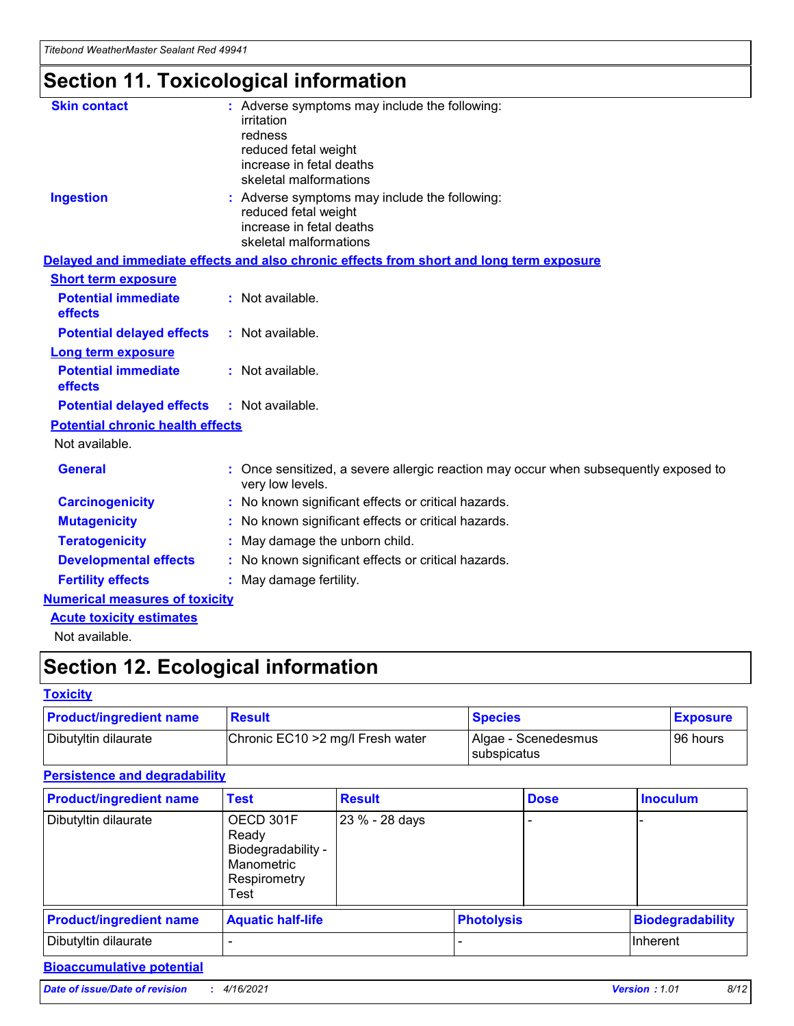## **Section 11. Toxicological information**

| <b>Skin contact</b>                     | : Adverse symptoms may include the following:                                                            |
|-----------------------------------------|----------------------------------------------------------------------------------------------------------|
|                                         | irritation                                                                                               |
|                                         | redness                                                                                                  |
|                                         | reduced fetal weight                                                                                     |
|                                         | increase in fetal deaths                                                                                 |
|                                         | skeletal malformations                                                                                   |
| <b>Ingestion</b>                        | : Adverse symptoms may include the following:                                                            |
|                                         | reduced fetal weight                                                                                     |
|                                         | increase in fetal deaths                                                                                 |
|                                         | skeletal malformations                                                                                   |
|                                         | Delayed and immediate effects and also chronic effects from short and long term exposure                 |
| <b>Short term exposure</b>              |                                                                                                          |
| <b>Potential immediate</b>              | : Not available.                                                                                         |
| effects                                 |                                                                                                          |
| <b>Potential delayed effects</b>        | : Not available.                                                                                         |
| Long term exposure                      |                                                                                                          |
| <b>Potential immediate</b>              | : Not available.                                                                                         |
| effects                                 |                                                                                                          |
| <b>Potential delayed effects</b>        | : Not available.                                                                                         |
| <b>Potential chronic health effects</b> |                                                                                                          |
| Not available.                          |                                                                                                          |
| <b>General</b>                          | : Once sensitized, a severe allergic reaction may occur when subsequently exposed to<br>very low levels. |
| <b>Carcinogenicity</b>                  | : No known significant effects or critical hazards.                                                      |
| <b>Mutagenicity</b>                     | No known significant effects or critical hazards.                                                        |
| <b>Teratogenicity</b>                   | May damage the unborn child.                                                                             |
| <b>Developmental effects</b>            | No known significant effects or critical hazards.                                                        |
| <b>Fertility effects</b>                | : May damage fertility.                                                                                  |
| <b>Numerical measures of toxicity</b>   |                                                                                                          |
| <b>Acute toxicity estimates</b>         |                                                                                                          |
|                                         |                                                                                                          |

Not available.

## **Section 12. Ecological information**

#### **Toxicity**

| <b>Product/ingredient name</b> | <b>Result</b>                     | <b>Species</b>                       | <b>Exposure</b> |
|--------------------------------|-----------------------------------|--------------------------------------|-----------------|
| Dibutyltin dilaurate           | Chronic EC10 > 2 mg/l Fresh water | Algae - Scenedesmus<br>I subspicatus | l 96 hours      |

#### **Persistence and degradability**

| <b>Product/ingredient name</b> | <b>Test</b>                                                                    | <b>Result</b>  |  | <b>Dose</b>       | <b>Inoculum</b>         |
|--------------------------------|--------------------------------------------------------------------------------|----------------|--|-------------------|-------------------------|
| Dibutyltin dilaurate           | OECD 301F<br>Ready<br>Biodegradability -<br>Manometric<br>Respirometry<br>Test | 23 % - 28 days |  |                   |                         |
| <b>Product/ingredient name</b> | <b>Aquatic half-life</b>                                                       |                |  | <b>Photolysis</b> | <b>Biodegradability</b> |
| Dibutyltin dilaurate           |                                                                                |                |  |                   | <b>Inherent</b>         |

*Date of issue/Date of revision* **:** *4/16/2021 Version : 1.01 8/12*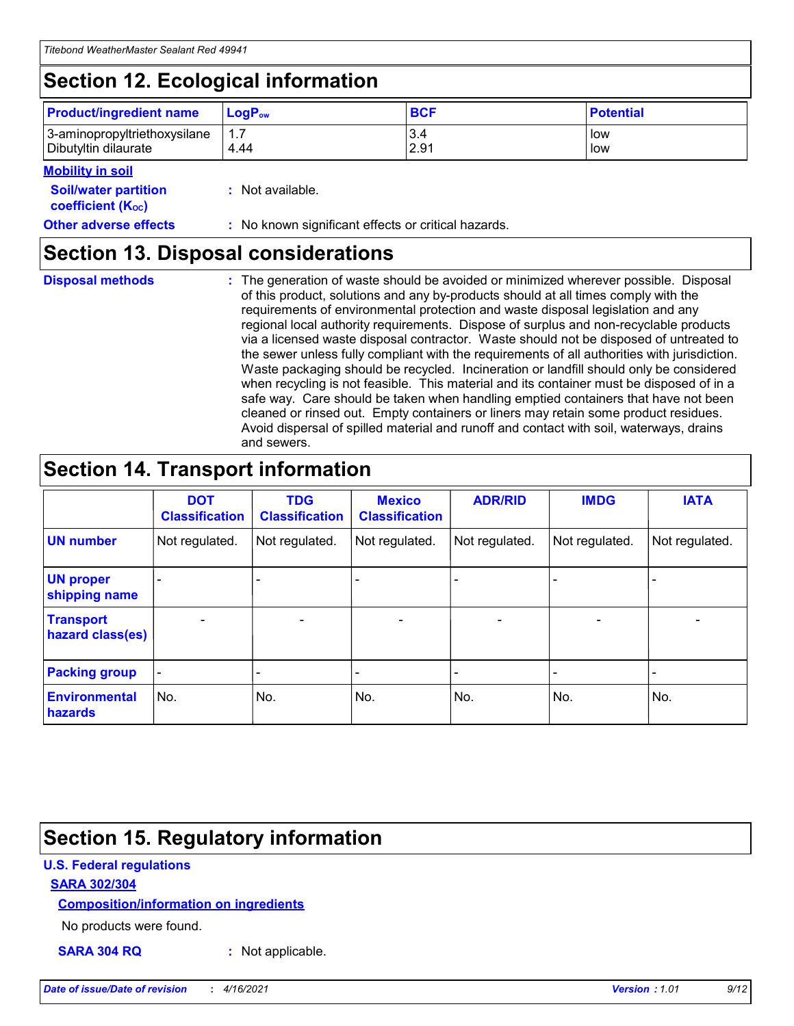## **Section 12. Ecological information**

| <b>Product/ingredient name</b>                       | ∣LoqP <sub>ow</sub> | <b>BCF</b>  | <b>Potential</b> |
|------------------------------------------------------|---------------------|-------------|------------------|
| 3-aminopropyltriethoxysilane<br>Dibutyltin dilaurate | 1.1<br>4.44         | 3.4<br>2.91 | low<br>low       |

#### **Mobility in soil**

| <i></i>                                                       |                                                     |
|---------------------------------------------------------------|-----------------------------------------------------|
| <b>Soil/water partition</b><br>coefficient (K <sub>oc</sub> ) | : Not available.                                    |
| <b>Other adverse effects</b>                                  | : No known significant effects or critical hazards. |

### **Section 13. Disposal considerations**

|  | <b>Disposal methods</b> |  |
|--|-------------------------|--|

**Disposal methods** : The generation of waste should be avoided or minimized wherever possible. Disposal of this product, solutions and any by-products should at all times comply with the requirements of environmental protection and waste disposal legislation and any regional local authority requirements. Dispose of surplus and non-recyclable products via a licensed waste disposal contractor. Waste should not be disposed of untreated to the sewer unless fully compliant with the requirements of all authorities with jurisdiction. Waste packaging should be recycled. Incineration or landfill should only be considered when recycling is not feasible. This material and its container must be disposed of in a safe way. Care should be taken when handling emptied containers that have not been cleaned or rinsed out. Empty containers or liners may retain some product residues. Avoid dispersal of spilled material and runoff and contact with soil, waterways, drains and sewers.

## **Section 14. Transport information**

|                                      | <b>DOT</b><br><b>Classification</b> | <b>TDG</b><br><b>Classification</b> | <b>Mexico</b><br><b>Classification</b> | <b>ADR/RID</b>           | <b>IMDG</b>              | <b>IATA</b>    |
|--------------------------------------|-------------------------------------|-------------------------------------|----------------------------------------|--------------------------|--------------------------|----------------|
| <b>UN number</b>                     | Not regulated.                      | Not regulated.                      | Not regulated.                         | Not regulated.           | Not regulated.           | Not regulated. |
| <b>UN proper</b><br>shipping name    |                                     |                                     |                                        |                          |                          |                |
| <b>Transport</b><br>hazard class(es) | $\qquad \qquad \blacksquare$        | $\qquad \qquad \blacksquare$        | $\overline{\phantom{a}}$               | $\overline{\phantom{a}}$ | $\overline{\phantom{a}}$ | $\blacksquare$ |
| <b>Packing group</b>                 | $\overline{\phantom{a}}$            |                                     |                                        |                          | $\overline{\phantom{0}}$ |                |
| <b>Environmental</b><br>hazards      | No.                                 | No.                                 | No.                                    | No.                      | No.                      | No.            |

### **Section 15. Regulatory information**

#### **U.S. Federal regulations**

#### **SARA 302/304**

#### **Composition/information on ingredients**

No products were found.

**SARA 304 RQ :** Not applicable.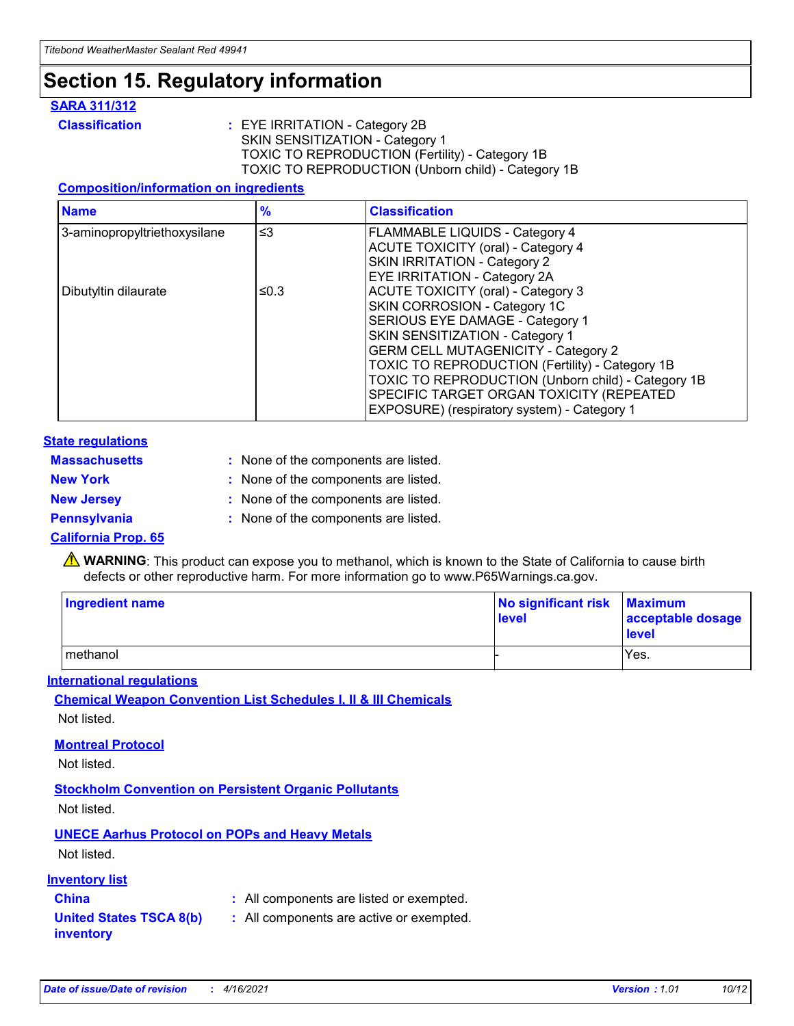## **Section 15. Regulatory information**

#### **SARA 311/312**

**Classification :** EYE IRRITATION - Category 2B SKIN SENSITIZATION - Category 1 TOXIC TO REPRODUCTION (Fertility) - Category 1B TOXIC TO REPRODUCTION (Unborn child) - Category 1B

#### **Composition/information on ingredients**

| <b>Name</b>                  | $\frac{9}{6}$ | <b>Classification</b>                                  |
|------------------------------|---------------|--------------------------------------------------------|
| 3-aminopropyltriethoxysilane | $\leq$ 3      | <b>FLAMMABLE LIQUIDS - Category 4</b>                  |
|                              |               | <b>ACUTE TOXICITY (oral) - Category 4</b>              |
|                              |               | SKIN IRRITATION - Category 2                           |
|                              |               | EYE IRRITATION - Category 2A                           |
| Dibutyltin dilaurate         | ≤0.3          | <b>ACUTE TOXICITY (oral) - Category 3</b>              |
|                              |               | SKIN CORROSION - Category 1C                           |
|                              |               | SERIOUS EYE DAMAGE - Category 1                        |
|                              |               | SKIN SENSITIZATION - Category 1                        |
|                              |               | <b>GERM CELL MUTAGENICITY - Category 2</b>             |
|                              |               | <b>TOXIC TO REPRODUCTION (Fertility) - Category 1B</b> |
|                              |               | TOXIC TO REPRODUCTION (Unborn child) - Category 1B     |
|                              |               | SPECIFIC TARGET ORGAN TOXICITY (REPEATED               |
|                              |               | EXPOSURE) (respiratory system) - Category 1            |

#### **State regulations**

| <b>Massachusetts</b> | : None of the components are listed. |
|----------------------|--------------------------------------|
| <b>New York</b>      | : None of the components are listed. |
| <b>New Jersey</b>    | : None of the components are listed. |
| Pennsylvania         | : None of the components are listed. |

#### **California Prop. 65**

**A** WARNING: This product can expose you to methanol, which is known to the State of California to cause birth defects or other reproductive harm. For more information go to www.P65Warnings.ca.gov.

| <b>Ingredient name</b> | No significant risk Maximum<br>level | acceptable dosage<br>level |
|------------------------|--------------------------------------|----------------------------|
| methanol               |                                      | Yes.                       |

#### **International regulations**

**Chemical Weapon Convention List Schedules I, II & III Chemicals** Not listed.

#### **Montreal Protocol**

Not listed.

**Stockholm Convention on Persistent Organic Pollutants**

Not listed.

### **UNECE Aarhus Protocol on POPs and Heavy Metals**

Not listed.

#### **Inventory list**

### **China :** All components are listed or exempted.

#### **United States TSCA 8(b) inventory :** All components are active or exempted.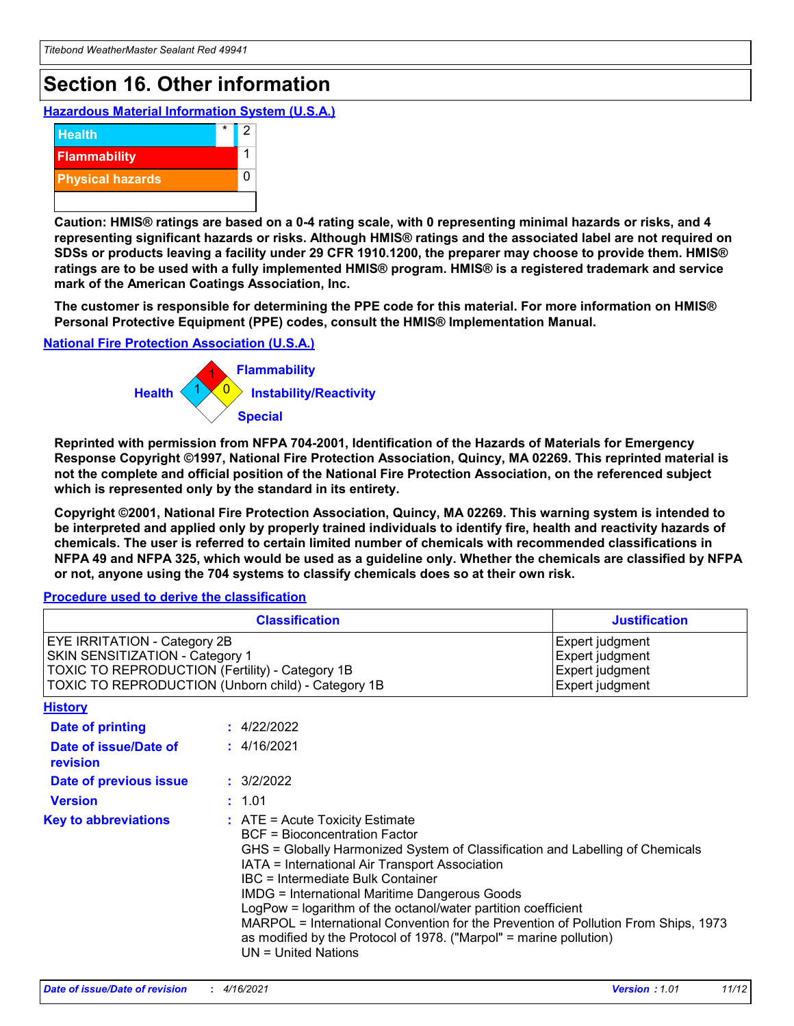## **Section 16. Other information**

**Hazardous Material Information System (U.S.A.)**



**Caution: HMIS® ratings are based on a 0-4 rating scale, with 0 representing minimal hazards or risks, and 4 representing significant hazards or risks. Although HMIS® ratings and the associated label are not required on SDSs or products leaving a facility under 29 CFR 1910.1200, the preparer may choose to provide them. HMIS® ratings are to be used with a fully implemented HMIS® program. HMIS® is a registered trademark and service mark of the American Coatings Association, Inc.**

**The customer is responsible for determining the PPE code for this material. For more information on HMIS® Personal Protective Equipment (PPE) codes, consult the HMIS® Implementation Manual.**

#### **National Fire Protection Association (U.S.A.)**



**Reprinted with permission from NFPA 704-2001, Identification of the Hazards of Materials for Emergency Response Copyright ©1997, National Fire Protection Association, Quincy, MA 02269. This reprinted material is not the complete and official position of the National Fire Protection Association, on the referenced subject which is represented only by the standard in its entirety.**

**Copyright ©2001, National Fire Protection Association, Quincy, MA 02269. This warning system is intended to be interpreted and applied only by properly trained individuals to identify fire, health and reactivity hazards of chemicals. The user is referred to certain limited number of chemicals with recommended classifications in NFPA 49 and NFPA 325, which would be used as a guideline only. Whether the chemicals are classified by NFPA or not, anyone using the 704 systems to classify chemicals does so at their own risk.**

#### **Procedure used to derive the classification**

|                                                                                                                                  | <b>Classification</b><br><b>Justification</b>                                                                                                                                                                                                                                                                                                                                                                                                                                                                                                                                   |  |
|----------------------------------------------------------------------------------------------------------------------------------|---------------------------------------------------------------------------------------------------------------------------------------------------------------------------------------------------------------------------------------------------------------------------------------------------------------------------------------------------------------------------------------------------------------------------------------------------------------------------------------------------------------------------------------------------------------------------------|--|
| <b>EYE IRRITATION - Category 2B</b><br>SKIN SENSITIZATION - Category 1<br><b>TOXIC TO REPRODUCTION (Fertility) - Category 1B</b> | Expert judgment<br>Expert judgment<br>Expert judgment<br>TOXIC TO REPRODUCTION (Unborn child) - Category 1B<br>Expert judgment                                                                                                                                                                                                                                                                                                                                                                                                                                                  |  |
| <b>History</b>                                                                                                                   |                                                                                                                                                                                                                                                                                                                                                                                                                                                                                                                                                                                 |  |
| <b>Date of printing</b>                                                                                                          | : 4/22/2022                                                                                                                                                                                                                                                                                                                                                                                                                                                                                                                                                                     |  |
| Date of issue/Date of<br>revision                                                                                                | : 4/16/2021                                                                                                                                                                                                                                                                                                                                                                                                                                                                                                                                                                     |  |
| Date of previous issue                                                                                                           | : 3/2/2022                                                                                                                                                                                                                                                                                                                                                                                                                                                                                                                                                                      |  |
| <b>Version</b>                                                                                                                   | : 1.01                                                                                                                                                                                                                                                                                                                                                                                                                                                                                                                                                                          |  |
| <b>Key to abbreviations</b>                                                                                                      | $\therefore$ ATE = Acute Toxicity Estimate<br><b>BCF</b> = Bioconcentration Factor<br>GHS = Globally Harmonized System of Classification and Labelling of Chemicals<br>IATA = International Air Transport Association<br><b>IBC</b> = Intermediate Bulk Container<br><b>IMDG = International Maritime Dangerous Goods</b><br>LogPow = logarithm of the octanol/water partition coefficient<br>MARPOL = International Convention for the Prevention of Pollution From Ships, 1973<br>as modified by the Protocol of 1978. ("Marpol" = marine pollution)<br>$UN = United Nations$ |  |